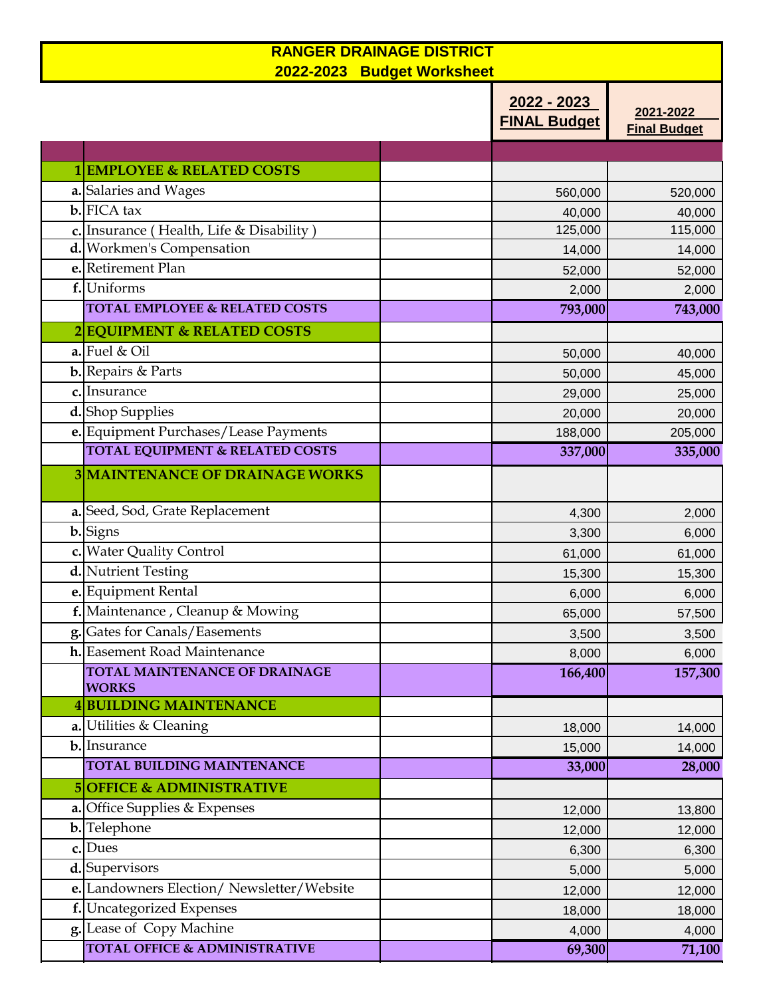| <b>RANGER DRAINAGE DISTRICT</b><br>2022-2023 Budget Worksheet |  |                                    |                                  |  |  |
|---------------------------------------------------------------|--|------------------------------------|----------------------------------|--|--|
|                                                               |  | 2022 - 2023<br><b>FINAL Budget</b> | 2021-2022<br><b>Final Budget</b> |  |  |
|                                                               |  |                                    |                                  |  |  |
| 1 EMPLOYEE & RELATED COSTS                                    |  |                                    |                                  |  |  |
| a. Salaries and Wages                                         |  | 560,000                            | 520,000                          |  |  |
| $\mathbf{b}$ . FICA tax                                       |  | 40,000                             | 40,000                           |  |  |
| c. Insurance (Health, Life & Disability)                      |  | 125,000                            | 115,000                          |  |  |
| d. Workmen's Compensation                                     |  | 14,000                             | 14,000                           |  |  |
| e. Retirement Plan                                            |  | 52,000                             | 52,000                           |  |  |
| f. Uniforms                                                   |  | 2,000                              | 2,000                            |  |  |
| <b>TOTAL EMPLOYEE &amp; RELATED COSTS</b>                     |  | 793,000                            | 743,000                          |  |  |
| 2 EQUIPMENT & RELATED COSTS                                   |  |                                    |                                  |  |  |
| a. Fuel & Oil                                                 |  | 50,000                             | 40,000                           |  |  |
| <b>b.</b> Repairs & Parts                                     |  | 50,000                             | 45,000                           |  |  |
| c. Insurance                                                  |  | 29,000                             | 25,000                           |  |  |
| d. Shop Supplies                                              |  | 20,000                             | 20,000                           |  |  |
| e. Equipment Purchases/Lease Payments                         |  | 188,000                            | 205,000                          |  |  |
| <b>TOTAL EQUIPMENT &amp; RELATED COSTS</b>                    |  | 337,000                            | 335,000                          |  |  |
| <b>3 MAINTENANCE OF DRAINAGE WORKS</b>                        |  |                                    |                                  |  |  |
| a. Seed, Sod, Grate Replacement                               |  | 4,300                              | 2,000                            |  |  |
| <b>b.</b> Signs                                               |  | 3,300                              | 6,000                            |  |  |
| c. Water Quality Control                                      |  | 61,000                             | 61,000                           |  |  |
| d. Nutrient Testing                                           |  | 15,300                             | 15,300                           |  |  |
| e. Equipment Rental                                           |  | 6,000                              | 6,000                            |  |  |
| <b>f.</b> Maintenance, Cleanup & Mowing                       |  | 65,000                             | 57,500                           |  |  |
| g. Gates for Canals/Easements                                 |  | 3,500                              | 3,500                            |  |  |
| h. Easement Road Maintenance                                  |  | 8,000                              | 6,000                            |  |  |
| TOTAL MAINTENANCE OF DRAINAGE<br><b>WORKS</b>                 |  | 166,400                            | 157,300                          |  |  |
| <b>4BUILDING MAINTENANCE</b>                                  |  |                                    |                                  |  |  |
| a. Utilities & Cleaning                                       |  | 18,000                             | 14,000                           |  |  |
| b. Insurance                                                  |  | 15,000                             | 14,000                           |  |  |
| <b>TOTAL BUILDING MAINTENANCE</b>                             |  | 33,000                             | 28,000                           |  |  |
| <b>5 OFFICE &amp; ADMINISTRATIVE</b>                          |  |                                    |                                  |  |  |
| a. Office Supplies & Expenses                                 |  | 12,000                             | 13,800                           |  |  |
| <b>b.</b> Telephone                                           |  | 12,000                             | 12,000                           |  |  |
| c. Dues                                                       |  | 6,300                              | 6,300                            |  |  |
| d. Supervisors                                                |  | 5,000                              | 5,000                            |  |  |
| e. Landowners Election/Newsletter/Website                     |  | 12,000                             | 12,000                           |  |  |
| f. Uncategorized Expenses                                     |  | 18,000                             | 18,000                           |  |  |
| g. Lease of Copy Machine                                      |  | 4,000                              | 4,000                            |  |  |
| <b>TOTAL OFFICE &amp; ADMINISTRATIVE</b>                      |  | 69,300                             | 71,100                           |  |  |